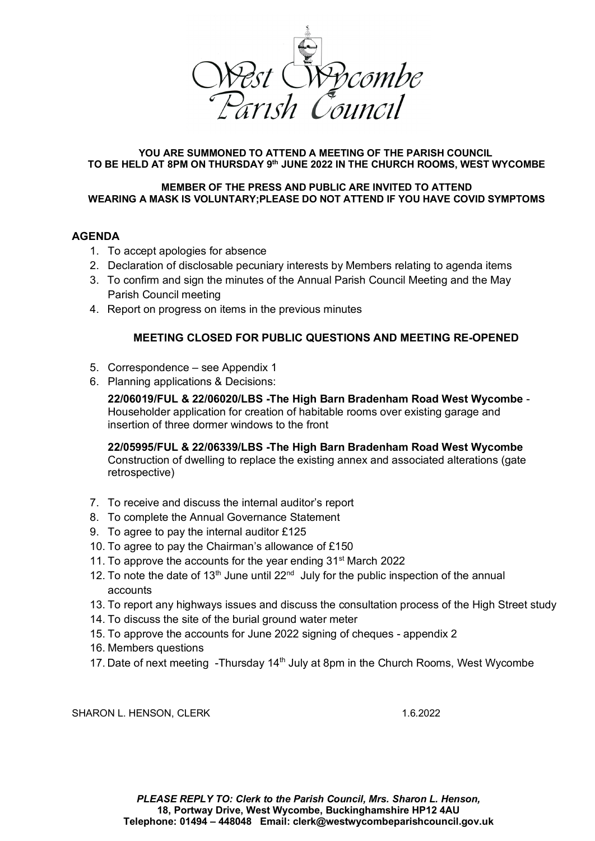

#### **YOU ARE SUMMONED TO ATTEND A MEETING OF THE PARISH COUNCIL TO BE HELD AT 8PM ON THURSDAY 9th JUNE 2022 IN THE CHURCH ROOMS, WEST WYCOMBE**

#### **MEMBER OF THE PRESS AND PUBLIC ARE INVITED TO ATTEND WEARING A MASK IS VOLUNTARY;PLEASE DO NOT ATTEND IF YOU HAVE COVID SYMPTOMS**

## **AGENDA**

- 1. To accept apologies for absence
- 2. Declaration of disclosable pecuniary interests by Members relating to agenda items
- 3. To confirm and sign the minutes of the Annual Parish Council Meeting and the May Parish Council meeting
- 4. Report on progress on items in the previous minutes

## **MEETING CLOSED FOR PUBLIC QUESTIONS AND MEETING RE-OPENED**

- 5. Correspondence see Appendix 1
- 6. Planning applications & Decisions:

**22/06019/FUL & 22/06020/LBS -The High Barn Bradenham Road West Wycombe** - [Householder application for creation of habitable rooms over existing garage and](https://publicaccess.wycombe.gov.uk/idoxpa-web/applicationDetails.do?keyVal=RA7OQASCGXE00&activeTab=summary)  [insertion of three dormer windows to the front](https://publicaccess.wycombe.gov.uk/idoxpa-web/applicationDetails.do?keyVal=RA7OQASCGXE00&activeTab=summary)

**22/05995/FUL & 22/06339/LBS -The High Barn Bradenham Road West Wycombe**

[Construction of dwelling to replace the existing annex and associated alterations \(gate](https://publicaccess.wycombe.gov.uk/idoxpa-web/applicationDetails.do?keyVal=RA24NZSCGVE00&activeTab=summary)  [retrospective\)](https://publicaccess.wycombe.gov.uk/idoxpa-web/applicationDetails.do?keyVal=RA24NZSCGVE00&activeTab=summary)

- 7. To receive and discuss the internal auditor's report
- 8. To complete the Annual Governance Statement
- 9. To agree to pay the internal auditor £125
- 10. To agree to pay the Chairman's allowance of £150
- 11. To approve the accounts for the year ending 31<sup>st</sup> March 2022
- 12. To note the date of 13<sup>th</sup> June until 22<sup>nd</sup> July for the public inspection of the annual accounts
- 13. To report any highways issues and discuss the consultation process of the High Street study
- 14. To discuss the site of the burial ground water meter
- 15. To approve the accounts for June 2022 signing of cheques appendix 2
- 16. Members questions
- 17. Date of next meeting -Thursday  $14<sup>th</sup>$  July at 8pm in the Church Rooms, West Wycombe

SHARON L. HENSON, CLERK 1.6.2022